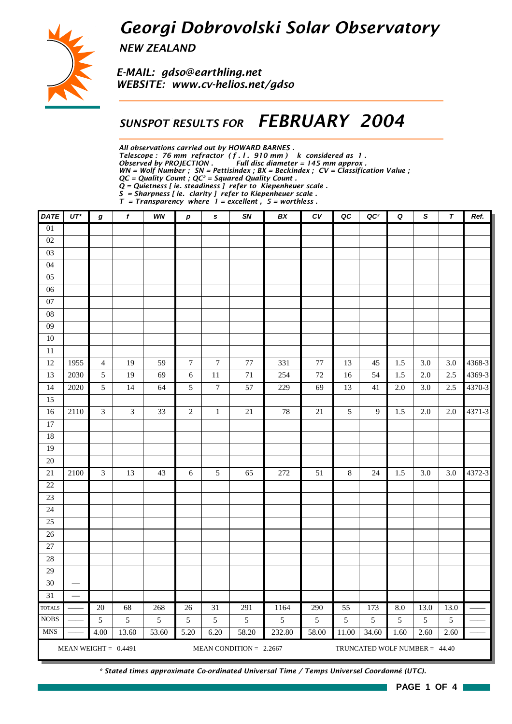## *Georgi Dobrovolski Solar Observatory*



*NEW ZEALAND*

*E-MAIL: gdso@earthling.net WEBSITE: www.cv-helios.net/gdso*

### *SUNSPOT RESULTS FOR FEBRUARY 2004*

*All observations carried out by HOWARD BARNES .*

*Telescope : 76 mm refractor ( f . l . 910 mm ) k considered as 1 .*

*Observed by PROJECTION . Full disc diameter = 145 mm approx .*

*WN = Wolf Number ; SN = Pettisindex ; BX = Beckindex ; CV = Classification Value ; QC = Quality Count ; QC² = Squared Quality Count .*

*Q = Quietness [ ie. steadiness ] refer to Kiepenheuer scale .*

*S = Sharpness [ ie. clarity ] refer to Kiepenheuer scale .*

*T = Transparency where 1 = excellent , 5 = worthless .*

| <b>DATE</b>                  | $UT^*$                                               | g                           | f       | WN       | $\boldsymbol{p}$                  | s                | SN                        | BX                     | c v      | QC                   | QC <sup>2</sup>               | Q        | S         | $\tau$    | Ref.   |
|------------------------------|------------------------------------------------------|-----------------------------|---------|----------|-----------------------------------|------------------|---------------------------|------------------------|----------|----------------------|-------------------------------|----------|-----------|-----------|--------|
| $\overline{01}$              |                                                      |                             |         |          |                                   |                  |                           |                        |          |                      |                               |          |           |           |        |
| 02                           |                                                      |                             |         |          |                                   |                  |                           |                        |          |                      |                               |          |           |           |        |
| 03                           |                                                      |                             |         |          |                                   |                  |                           |                        |          |                      |                               |          |           |           |        |
| 04                           |                                                      |                             |         |          |                                   |                  |                           |                        |          |                      |                               |          |           |           |        |
| 05                           |                                                      |                             |         |          |                                   |                  |                           |                        |          |                      |                               |          |           |           |        |
| $06\,$                       |                                                      |                             |         |          |                                   |                  |                           |                        |          |                      |                               |          |           |           |        |
| $07\,$                       |                                                      |                             |         |          |                                   |                  |                           |                        |          |                      |                               |          |           |           |        |
| ${\bf 08}$                   |                                                      |                             |         |          |                                   |                  |                           |                        |          |                      |                               |          |           |           |        |
| 09                           |                                                      |                             |         |          |                                   |                  |                           |                        |          |                      |                               |          |           |           |        |
| $10\,$                       |                                                      |                             |         |          |                                   |                  |                           |                        |          |                      |                               |          |           |           |        |
| $11\,$                       |                                                      |                             |         |          |                                   |                  |                           |                        |          |                      |                               |          |           |           |        |
| 12                           | 1955                                                 | $\overline{4}$              | 19      | 59       | $\boldsymbol{7}$                  | $\boldsymbol{7}$ | $77\,$                    | 331                    | $77\,$   | 13                   | 45                            | 1.5      | $3.0\,$   | $3.0\,$   | 4368-3 |
| 13                           | 2030                                                 | $\sqrt{5}$                  | 19      | 69       | $\sqrt{6}$                        | 11               | 71                        | 254                    | $72\,$   | 16                   | 54                            | 1.5      | $2.0\,$   | 2.5       | 4369-3 |
| 14                           | 2020                                                 | $\sqrt{5}$                  | 14      | 64       | $\mathfrak{S}$                    | $\boldsymbol{7}$ | 57                        | 229                    | 69       | 13                   | 41                            | 2.0      | 3.0       | 2.5       | 4370-3 |
| 15                           |                                                      |                             |         |          |                                   |                  |                           |                        |          |                      |                               |          |           |           |        |
| 16                           | 2110                                                 | $\mathfrak{Z}$              | 3       | 33       | $\overline{2}$                    | $\mathbf{1}$     | 21                        | 78                     | $21\,$   | 5                    | 9                             | 1.5      | 2.0       | 2.0       | 4371-3 |
| $17\,$                       |                                                      |                             |         |          |                                   |                  |                           |                        |          |                      |                               |          |           |           |        |
| 18                           |                                                      |                             |         |          |                                   |                  |                           |                        |          |                      |                               |          |           |           |        |
| 19                           |                                                      |                             |         |          |                                   |                  |                           |                        |          |                      |                               |          |           |           |        |
| 20                           |                                                      |                             |         |          |                                   |                  |                           |                        |          |                      |                               |          |           |           |        |
| $21\,$                       | 2100                                                 | $\ensuremath{\mathfrak{Z}}$ | 13      | 43       | 6                                 | 5                | 65                        | 272                    | 51       | $\,8\,$              | 24                            | 1.5      | 3.0       | $3.0\,$   | 4372-3 |
| 22                           |                                                      |                             |         |          |                                   |                  |                           |                        |          |                      |                               |          |           |           |        |
| $23\,$                       |                                                      |                             |         |          |                                   |                  |                           |                        |          |                      |                               |          |           |           |        |
| 24                           |                                                      |                             |         |          |                                   |                  |                           |                        |          |                      |                               |          |           |           |        |
| 25                           |                                                      |                             |         |          |                                   |                  |                           |                        |          |                      |                               |          |           |           |        |
| 26                           |                                                      |                             |         |          |                                   |                  |                           |                        |          |                      |                               |          |           |           |        |
| 27                           |                                                      |                             |         |          |                                   |                  |                           |                        |          |                      |                               |          |           |           |        |
| 28                           |                                                      |                             |         |          |                                   |                  |                           |                        |          |                      |                               |          |           |           |        |
| 29                           |                                                      |                             |         |          |                                   |                  |                           |                        |          |                      |                               |          |           |           |        |
| 30                           | $\overline{\phantom{0}}$<br>$\overline{\phantom{a}}$ |                             |         |          |                                   |                  |                           |                        |          |                      |                               |          |           |           |        |
| 31                           |                                                      |                             |         |          |                                   | 31               |                           |                        |          |                      |                               |          |           |           |        |
| <b>TOTALS</b><br><b>NOBS</b> |                                                      | $\overline{20}$<br>5        | 68<br>5 | 268<br>5 | $\overline{26}$<br>$\mathfrak{S}$ | $\mathfrak{S}$   | 291<br>5                  | 1164<br>$\mathfrak{S}$ | 290<br>5 | $\overline{55}$<br>5 | 173<br>5                      | 8.0<br>5 | 13.0<br>5 | 13.0<br>5 |        |
| <b>MNS</b>                   |                                                      | 4.00                        | 13.60   | 53.60    | 5.20                              | 6.20             | 58.20                     |                        |          |                      |                               | 1.60     | 2.60      | 2.60      |        |
|                              |                                                      |                             |         |          |                                   |                  |                           | 232.80                 | 58.00    | 11.00                | 34.60                         |          |           |           |        |
|                              | MEAN WEIGHT = $0.4491$                               |                             |         |          |                                   |                  | MEAN CONDITION = $2.2667$ |                        |          |                      | TRUNCATED WOLF NUMBER = 44.40 |          |           |           |        |

*\* Stated times approximate Co-ordinated Universal Time / Temps Universel Coordonné (UTC).*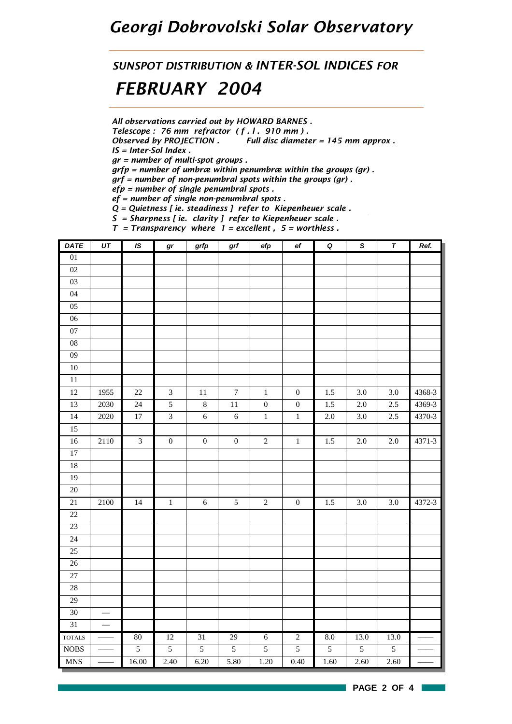## *Georgi Dobrovolski Solar Observatory*

*SUNSPOT DISTRIBUTION & INTER-SOL INDICES FOR FEBRUARY 2004*

*All observations carried out by HOWARD BARNES .*

*Telescope : 76 mm refractor ( f . l . 910 mm ) .*

*Observed by PROJECTION . Full disc diameter = 145 mm approx . IS = Inter-Sol Index .*

*gr = number of multi-spot groups .*

*grfp = number of umbræ within penumbræ within the groups (gr) .*

*grf = number of non-penumbral spots within the groups (gr) .*

*efp = number of single penumbral spots .*

*ef = number of single non-penumbral spots .*

*Q = Quietness [ ie. steadiness ] refer to Kiepenheuer scale .*

*S = Sharpness [ ie. clarity ] refer to Kiepenheuer scale . T = Transparency where 1 = excellent , 5 = worthless .*

| <b>DATE</b>                 | $\overline{UT}$          | IS                      | gr                      | grfp             | grf              | $\ensuremath{\mathit{efp}}$ | $\mathbf{e} \mathbf{f}$ | $\pmb Q$ | $\overline{s}$ | $\pmb{\tau}$   | Ref.   |
|-----------------------------|--------------------------|-------------------------|-------------------------|------------------|------------------|-----------------------------|-------------------------|----------|----------------|----------------|--------|
| 01                          |                          |                         |                         |                  |                  |                             |                         |          |                |                |        |
| 02                          |                          |                         |                         |                  |                  |                             |                         |          |                |                |        |
| 03                          |                          |                         |                         |                  |                  |                             |                         |          |                |                |        |
| 04                          |                          |                         |                         |                  |                  |                             |                         |          |                |                |        |
| 05                          |                          |                         |                         |                  |                  |                             |                         |          |                |                |        |
| 06                          |                          |                         |                         |                  |                  |                             |                         |          |                |                |        |
| $07\,$                      |                          |                         |                         |                  |                  |                             |                         |          |                |                |        |
| ${\bf 08}$                  |                          |                         |                         |                  |                  |                             |                         |          |                |                |        |
| 09                          |                          |                         |                         |                  |                  |                             |                         |          |                |                |        |
| $10\,$                      |                          |                         |                         |                  |                  |                             |                         |          |                |                |        |
| 11                          |                          |                         |                         |                  |                  |                             |                         |          |                |                |        |
| $\overline{12}$             | 1955                     | $22\,$                  | $\mathfrak{Z}$          | $11\,$           | $\boldsymbol{7}$ | $\,1\,$                     | $\boldsymbol{0}$        | $1.5\,$  | $3.0\,$        | 3.0            | 4368-3 |
| 13                          | 2030                     | $24\,$                  | $\sqrt{5}$              | $\,$ 8 $\,$      | $11\,$           | $\boldsymbol{0}$            | $\boldsymbol{0}$        | $1.5\,$  | $2.0\,$        | $2.5\,$        | 4369-3 |
| $\overline{14}$             | 2020                     | $17\,$                  | $\overline{\mathbf{3}}$ | $\sqrt{6}$       | $\sqrt{6}$       | $\,1\,$                     | $\,1$                   | $2.0\,$  | $3.0\,$        | $2.5\,$        | 4370-3 |
| $\overline{15}$             |                          |                         |                         |                  |                  |                             |                         |          |                |                |        |
| 16                          | 2110                     | $\overline{\mathbf{3}}$ | $\boldsymbol{0}$        | $\boldsymbol{0}$ | $\boldsymbol{0}$ | $\overline{2}$              | $\,1\,$                 | $1.5\,$  | $2.0\,$        | $2.0\,$        | 4371-3 |
| 17                          |                          |                         |                         |                  |                  |                             |                         |          |                |                |        |
| 18                          |                          |                         |                         |                  |                  |                             |                         |          |                |                |        |
| 19                          |                          |                         |                         |                  |                  |                             |                         |          |                |                |        |
| 20                          |                          |                         |                         |                  |                  |                             |                         |          |                |                |        |
| $21\,$                      | 2100                     | 14                      | $\mathbf{1}$            | $\sqrt{6}$       | 5                | $\sqrt{2}$                  | $\boldsymbol{0}$        | 1.5      | $3.0\,$        | $3.0\,$        | 4372-3 |
| 22                          |                          |                         |                         |                  |                  |                             |                         |          |                |                |        |
| 23                          |                          |                         |                         |                  |                  |                             |                         |          |                |                |        |
| $24\,$                      |                          |                         |                         |                  |                  |                             |                         |          |                |                |        |
| $25\,$                      |                          |                         |                         |                  |                  |                             |                         |          |                |                |        |
| $\overline{26}$             |                          |                         |                         |                  |                  |                             |                         |          |                |                |        |
| $27\,$                      |                          |                         |                         |                  |                  |                             |                         |          |                |                |        |
| 28                          |                          |                         |                         |                  |                  |                             |                         |          |                |                |        |
| 29                          |                          |                         |                         |                  |                  |                             |                         |          |                |                |        |
| 30                          | $\overline{\phantom{m}}$ |                         |                         |                  |                  |                             |                         |          |                |                |        |
| $\overline{31}$             | $\equiv$                 |                         |                         |                  |                  |                             |                         |          |                |                |        |
| <b>TOTALS</b>               |                          | 80                      | 12                      | 31               | 29               | $\overline{6}$              | $\overline{2}$          | 8.0      | 13.0           | 13.0           |        |
| $\rm{NOBS}$                 |                          | $\sqrt{5}$              | 5                       | 5                | $\mathfrak{S}$   | $\sqrt{5}$                  | $\sqrt{5}$              | 5        | 5              | $\mathfrak{S}$ |        |
| $\ensuremath{\mathsf{MNS}}$ |                          | 16.00                   | 2.40                    | 6.20             | 5.80             | 1.20                        | 0.40                    | 1.60     | 2.60           | 2.60           |        |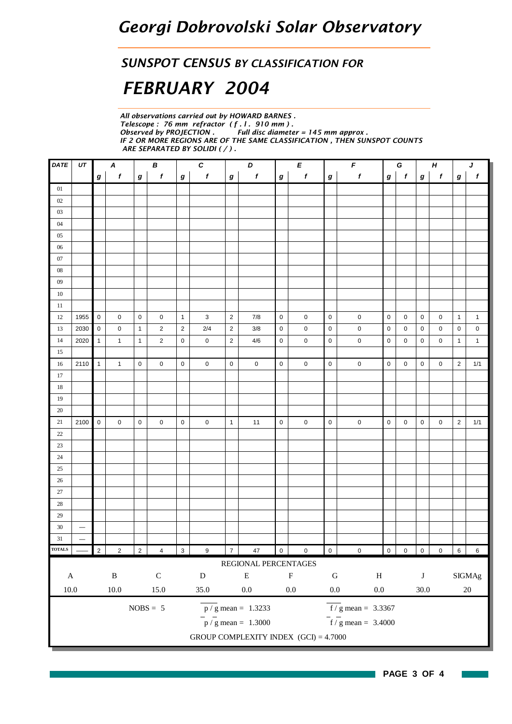#### *SUNSPOT CENSUS BY CLASSIFICATION FOR*

# *FEBRUARY 2004*

*All observations carried out by HOWARD BARNES . Telescope : 76 mm refractor ( f . l . 910 mm ) .* **Full disc diameter = 145 mm approx.** *IF 2 OR MORE REGIONS ARE OF THE SAME CLASSIFICATION , THEN SUNSPOT COUNTS ARE SEPARATED BY SOLIDI ( / ) .*

| DATE          | UT                       |                  | $\boldsymbol{A}$ |                  | $\pmb B$       |              | C                |                         | D                                       |                  | E           | F<br>$\pmb H$<br>G |                                   |                |              |          |              | $\pmb{J}$      |                 |
|---------------|--------------------------|------------------|------------------|------------------|----------------|--------------|------------------|-------------------------|-----------------------------------------|------------------|-------------|--------------------|-----------------------------------|----------------|--------------|----------|--------------|----------------|-----------------|
|               |                          | $\boldsymbol{g}$ | $\pmb{f}$        | $\boldsymbol{g}$ | f              | $\bm{g}$     | $\pmb{f}$        | $\bm{g}$                | $\pmb{f}$                               | $\boldsymbol{g}$ | f           | $\pmb{g}$          | $\pmb{f}$                         | $\bm{g}$       | $\mathbf{f}$ | $\bm{g}$ | $\mathbf{f}$ | $\bm{g}$       | $\pmb{f}$       |
| 01            |                          |                  |                  |                  |                |              |                  |                         |                                         |                  |             |                    |                                   |                |              |          |              |                |                 |
| $02\,$        |                          |                  |                  |                  |                |              |                  |                         |                                         |                  |             |                    |                                   |                |              |          |              |                |                 |
| $03\,$        |                          |                  |                  |                  |                |              |                  |                         |                                         |                  |             |                    |                                   |                |              |          |              |                |                 |
| $04\,$        |                          |                  |                  |                  |                |              |                  |                         |                                         |                  |             |                    |                                   |                |              |          |              |                |                 |
| $05\,$        |                          |                  |                  |                  |                |              |                  |                         |                                         |                  |             |                    |                                   |                |              |          |              |                |                 |
| $06\,$        |                          |                  |                  |                  |                |              |                  |                         |                                         |                  |             |                    |                                   |                |              |          |              |                |                 |
| $07\,$        |                          |                  |                  |                  |                |              |                  |                         |                                         |                  |             |                    |                                   |                |              |          |              |                |                 |
| ${\bf 08}$    |                          |                  |                  |                  |                |              |                  |                         |                                         |                  |             |                    |                                   |                |              |          |              |                |                 |
| $09$          |                          |                  |                  |                  |                |              |                  |                         |                                         |                  |             |                    |                                   |                |              |          |              |                |                 |
| $10\,$        |                          |                  |                  |                  |                |              |                  |                         |                                         |                  |             |                    |                                   |                |              |          |              |                |                 |
| 11            |                          |                  |                  |                  |                |              |                  |                         |                                         |                  |             |                    |                                   |                |              |          |              |                |                 |
| 12            | 1955                     | $\mathbf 0$      | 0                | $\mathbf 0$      | 0              | $\mathbf{1}$ | 3                | $\sqrt{2}$              | 7/8                                     | 0                | 0           | $\mathbf 0$        | $\pmb{0}$                         | $\mathbf 0$    | 0            | 0        | 0            | $\mathbf{1}$   | $\mathbf{1}$    |
| 13            | 2030                     | $\mathbf 0$      | 0                | $\mathbf{1}$     | $\overline{2}$ | $\sqrt{2}$   | $2/4$            | $\overline{\mathbf{c}}$ | 3/8                                     | 0                | $\pmb{0}$   | $\mathbf 0$        | $\pmb{0}$                         | 0              | 0            | 0        | 0            | 0              | $\mathbf 0$     |
| 14            | 2020                     | $\mathbf{1}$     | $\mathbf{1}$     | $\mathbf{1}$     | $\overline{2}$ | $\pmb{0}$    | 0                | $\overline{\mathbf{c}}$ | 4/6                                     | $\mathbf 0$      | 0           | $\pmb{0}$          | $\pmb{0}$                         | $\mathbf 0$    | $\mathbf 0$  | 0        | 0            | $\mathbf{1}$   | $\mathbf{1}$    |
| 15            |                          |                  |                  |                  |                |              |                  |                         |                                         |                  |             |                    |                                   |                |              |          |              |                |                 |
| 16            | 2110                     | $\mathbf{1}$     | $\mathbf{1}$     | $\mathbf 0$      | 0              | $\pmb{0}$    | $\mathbf 0$      | $\pmb{0}$               | 0                                       | $\mathbf 0$      | 0           | $\mathbf 0$        | $\pmb{0}$                         | $\pmb{0}$      | 0            | 0        | 0            | $\overline{c}$ | 1/1             |
| 17            |                          |                  |                  |                  |                |              |                  |                         |                                         |                  |             |                    |                                   |                |              |          |              |                |                 |
| 18            |                          |                  |                  |                  |                |              |                  |                         |                                         |                  |             |                    |                                   |                |              |          |              |                |                 |
| 19            |                          |                  |                  |                  |                |              |                  |                         |                                         |                  |             |                    |                                   |                |              |          |              |                |                 |
| 20            |                          |                  |                  |                  |                |              |                  |                         |                                         |                  |             |                    |                                   |                |              |          |              |                |                 |
| 21            | 2100                     | $\mathbf 0$      | 0                | $\mathbf 0$      | 0              | $\mathbf 0$  | $\mathbf 0$      | $\mathbf{1}$            | 11                                      | 0                | 0           | 0                  | $\mathsf 0$                       | 0              | 0            | 0        | 0            | $\overline{c}$ | 1/1             |
| $22\,$        |                          |                  |                  |                  |                |              |                  |                         |                                         |                  |             |                    |                                   |                |              |          |              |                |                 |
| $23\,$        |                          |                  |                  |                  |                |              |                  |                         |                                         |                  |             |                    |                                   |                |              |          |              |                |                 |
| 24            |                          |                  |                  |                  |                |              |                  |                         |                                         |                  |             |                    |                                   |                |              |          |              |                |                 |
| $25\,$        |                          |                  |                  |                  |                |              |                  |                         |                                         |                  |             |                    |                                   |                |              |          |              |                |                 |
| $26\,$        |                          |                  |                  |                  |                |              |                  |                         |                                         |                  |             |                    |                                   |                |              |          |              |                |                 |
| $27\,$        |                          |                  |                  |                  |                |              |                  |                         |                                         |                  |             |                    |                                   |                |              |          |              |                |                 |
| $28\,$        |                          |                  |                  |                  |                |              |                  |                         |                                         |                  |             |                    |                                   |                |              |          |              |                |                 |
| 29            |                          |                  |                  |                  |                |              |                  |                         |                                         |                  |             |                    |                                   |                |              |          |              |                |                 |
| $30\,$        | $\overline{\phantom{m}}$ |                  |                  |                  |                |              |                  |                         |                                         |                  |             |                    |                                   |                |              |          |              |                |                 |
| $31\,$        | $\overline{\phantom{0}}$ |                  |                  |                  |                |              |                  |                         |                                         |                  |             |                    |                                   |                |              |          |              |                |                 |
| <b>TOTALS</b> |                          | $\overline{2}$   | $\overline{c}$   | $\sqrt{2}$       | $\overline{4}$ | $\mathbf{3}$ | $\boldsymbol{9}$ | $\overline{7}$          | $47\,$                                  | $\overline{0}$   | $\pmb{0}$   | $\overline{0}$     | $\pmb{0}$                         | $\overline{0}$ | $0\qquad 0$  |          | $\mathbf 0$  | 6 <sup>1</sup> | $6\phantom{.0}$ |
|               |                          |                  |                  |                  |                |              |                  |                         | REGIONAL PERCENTAGES                    |                  |             |                    |                                   |                |              |          |              |                |                 |
| $\mathbf A$   |                          |                  | $\, {\bf B}$     |                  | ${\bf C}$      |              | ${\bf D}$        |                         | ${\bf E}$                               |                  | $\mathbf F$ | ${\bf G}$          | $\, {\rm H}$                      |                |              | $\bf J$  |              |                | SIGMAg          |
| $10.0\,$      |                          |                  | $10.0\,$         |                  | 15.0           |              | $35.0\,$         |                         | $0.0\,$                                 |                  | $0.0\,$     | $0.0\,$            | $0.0\,$                           |                |              | $30.0\,$ |              |                | $20\,$          |
|               |                          |                  |                  |                  | $NOBS = 5$     |              |                  |                         | $\overline{p}/g$ mean = 1.3233          |                  |             |                    | $f/g$ mean = 3.3367               |                |              |          |              |                |                 |
|               |                          |                  |                  |                  |                |              |                  |                         | $\frac{1}{p}$ / g mean = 1.3000         |                  |             |                    | $\frac{1}{\pi}$ / g mean = 3.4000 |                |              |          |              |                |                 |
|               |                          |                  |                  |                  |                |              |                  |                         | GROUP COMPLEXITY INDEX $(GCI) = 4.7000$ |                  |             |                    |                                   |                |              |          |              |                |                 |
|               |                          |                  |                  |                  |                |              |                  |                         |                                         |                  |             |                    |                                   |                |              |          |              |                |                 |

n a